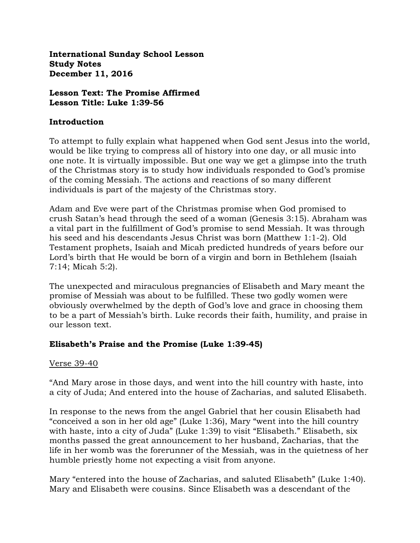**International Sunday School Lesson Study Notes December 11, 2016**

**Lesson Text: The Promise Affirmed Lesson Title: Luke 1:39-56**

#### **Introduction**

To attempt to fully explain what happened when God sent Jesus into the world, would be like trying to compress all of history into one day, or all music into one note. It is virtually impossible. But one way we get a glimpse into the truth of the Christmas story is to study how individuals responded to God's promise of the coming Messiah. The actions and reactions of so many different individuals is part of the majesty of the Christmas story.

Adam and Eve were part of the Christmas promise when God promised to crush Satan's head through the seed of a woman (Genesis 3:15). Abraham was a vital part in the fulfillment of God's promise to send Messiah. It was through his seed and his descendants Jesus Christ was born (Matthew 1:1-2). Old Testament prophets, Isaiah and Micah predicted hundreds of years before our Lord's birth that He would be born of a virgin and born in Bethlehem (Isaiah 7:14; Micah 5:2).

The unexpected and miraculous pregnancies of Elisabeth and Mary meant the promise of Messiah was about to be fulfilled. These two godly women were obviously overwhelmed by the depth of God's love and grace in choosing them to be a part of Messiah's birth. Luke records their faith, humility, and praise in our lesson text.

### **Elisabeth's Praise and the Promise (Luke 1:39-45)**

### Verse 39-40

"And Mary arose in those days, and went into the hill country with haste, into a city of Juda; And entered into the house of Zacharias, and saluted Elisabeth.

In response to the news from the angel Gabriel that her cousin Elisabeth had "conceived a son in her old age" (Luke 1:36), Mary "went into the hill country with haste, into a city of Juda" (Luke 1:39) to visit "Elisabeth." Elisabeth, six months passed the great announcement to her husband, Zacharias, that the life in her womb was the forerunner of the Messiah, was in the quietness of her humble priestly home not expecting a visit from anyone.

Mary "entered into the house of Zacharias, and saluted Elisabeth" (Luke 1:40). Mary and Elisabeth were cousins. Since Elisabeth was a descendant of the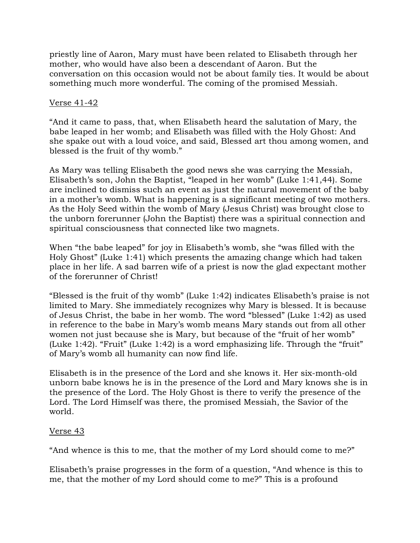priestly line of Aaron, Mary must have been related to Elisabeth through her mother, who would have also been a descendant of Aaron. But the conversation on this occasion would not be about family ties. It would be about something much more wonderful. The coming of the promised Messiah.

## Verse 41-42

"And it came to pass, that, when Elisabeth heard the salutation of Mary, the babe leaped in her womb; and Elisabeth was filled with the Holy Ghost: And she spake out with a loud voice, and said, Blessed art thou among women, and blessed is the fruit of thy womb."

As Mary was telling Elisabeth the good news she was carrying the Messiah, Elisabeth's son, John the Baptist, "leaped in her womb" (Luke 1:41,44). Some are inclined to dismiss such an event as just the natural movement of the baby in a mother's womb. What is happening is a significant meeting of two mothers. As the Holy Seed within the womb of Mary (Jesus Christ) was brought close to the unborn forerunner (John the Baptist) there was a spiritual connection and spiritual consciousness that connected like two magnets.

When "the babe leaped" for joy in Elisabeth's womb, she "was filled with the Holy Ghost" (Luke 1:41) which presents the amazing change which had taken place in her life. A sad barren wife of a priest is now the glad expectant mother of the forerunner of Christ!

"Blessed is the fruit of thy womb" (Luke 1:42) indicates Elisabeth's praise is not limited to Mary. She immediately recognizes why Mary is blessed. It is because of Jesus Christ, the babe in her womb. The word "blessed" (Luke 1:42) as used in reference to the babe in Mary's womb means Mary stands out from all other women not just because she is Mary, but because of the "fruit of her womb" (Luke 1:42). "Fruit" (Luke 1:42) is a word emphasizing life. Through the "fruit" of Mary's womb all humanity can now find life.

Elisabeth is in the presence of the Lord and she knows it. Her six-month-old unborn babe knows he is in the presence of the Lord and Mary knows she is in the presence of the Lord. The Holy Ghost is there to verify the presence of the Lord. The Lord Himself was there, the promised Messiah, the Savior of the world.

### Verse 43

"And whence is this to me, that the mother of my Lord should come to me?"

Elisabeth's praise progresses in the form of a question, "And whence is this to me, that the mother of my Lord should come to me?" This is a profound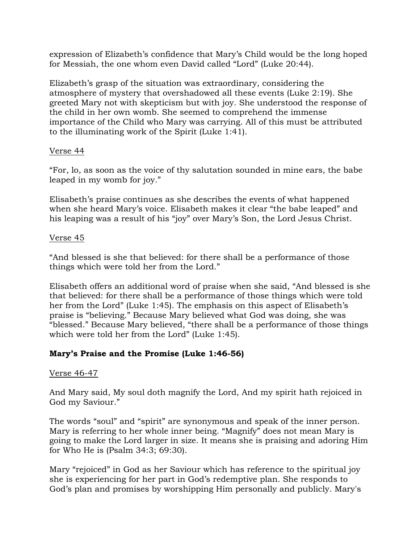expression of Elizabeth's confidence that Mary's Child would be the long hoped for Messiah, the one whom even David called "Lord" (Luke 20:44).

Elizabeth's grasp of the situation was extraordinary, considering the atmosphere of mystery that overshadowed all these events (Luke 2:19). She greeted Mary not with skepticism but with joy. She understood the response of the child in her own womb. She seemed to comprehend the immense importance of the Child who Mary was carrying. All of this must be attributed to the illuminating work of the Spirit (Luke 1:41).

## Verse 44

"For, lo, as soon as the voice of thy salutation sounded in mine ears, the babe leaped in my womb for joy."

Elisabeth's praise continues as she describes the events of what happened when she heard Mary's voice. Elisabeth makes it clear "the babe leaped" and his leaping was a result of his "joy" over Mary's Son, the Lord Jesus Christ.

## Verse 45

"And blessed is she that believed: for there shall be a performance of those things which were told her from the Lord."

Elisabeth offers an additional word of praise when she said, "And blessed is she that believed: for there shall be a performance of those things which were told her from the Lord" (Luke 1:45). The emphasis on this aspect of Elisabeth's praise is "believing." Because Mary believed what God was doing, she was "blessed." Because Mary believed, "there shall be a performance of those things which were told her from the Lord" (Luke 1:45).

# **Mary's Praise and the Promise (Luke 1:46-56)**

# Verse 46-47

And Mary said, My soul doth magnify the Lord, And my spirit hath rejoiced in God my Saviour."

The words "soul" and "spirit" are synonymous and speak of the inner person. Mary is referring to her whole inner being. "Magnify" does not mean Mary is going to make the Lord larger in size. It means she is praising and adoring Him for Who He is (Psalm 34:3; 69:30).

Mary "rejoiced" in God as her Saviour which has reference to the spiritual joy she is experiencing for her part in God's redemptive plan. She responds to God's plan and promises by worshipping Him personally and publicly. Mary's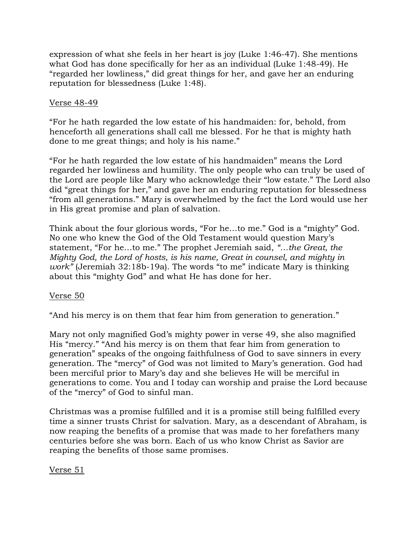expression of what she feels in her heart is joy (Luke 1:46-47). She mentions what God has done specifically for her as an individual (Luke 1:48-49). He "regarded her lowliness," did great things for her, and gave her an enduring reputation for blessedness (Luke 1:48).

### Verse 48-49

"For he hath regarded the low estate of his handmaiden: for, behold, from henceforth all generations shall call me blessed. For he that is mighty hath done to me great things; and holy is his name."

"For he hath regarded the low estate of his handmaiden" means the Lord regarded her lowliness and humility. The only people who can truly be used of the Lord are people like Mary who acknowledge their "low estate." The Lord also did "great things for her," and gave her an enduring reputation for blessedness "from all generations." Mary is overwhelmed by the fact the Lord would use her in His great promise and plan of salvation.

Think about the four glorious words, "For he…to me." God is a "mighty" God. No one who knew the God of the Old Testament would question Mary's statement, "For he…to me." The prophet Jeremiah said, *"…the Great, the Mighty God, the Lord of hosts, is his name, Great in counsel, and mighty in work"* (Jeremiah 32:18b-19a). The words "to me" indicate Mary is thinking about this "mighty God" and what He has done for her.

Verse 50

"And his mercy is on them that fear him from generation to generation."

Mary not only magnified God's mighty power in verse 49, she also magnified His "mercy." "And his mercy is on them that fear him from generation to generation" speaks of the ongoing faithfulness of God to save sinners in every generation. The "mercy" of God was not limited to Mary's generation. God had been merciful prior to Mary's day and she believes He will be merciful in generations to come. You and I today can worship and praise the Lord because of the "mercy" of God to sinful man.

Christmas was a promise fulfilled and it is a promise still being fulfilled every time a sinner trusts Christ for salvation. Mary, as a descendant of Abraham, is now reaping the benefits of a promise that was made to her forefathers many centuries before she was born. Each of us who know Christ as Savior are reaping the benefits of those same promises.

# Verse 51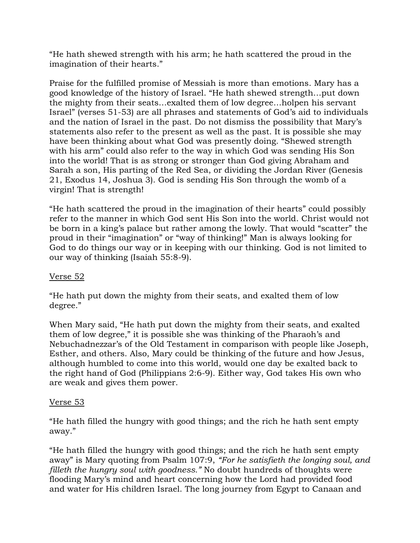"He hath shewed strength with his arm; he hath scattered the proud in the imagination of their hearts."

Praise for the fulfilled promise of Messiah is more than emotions. Mary has a good knowledge of the history of Israel. "He hath shewed strength…put down the mighty from their seats…exalted them of low degree…holpen his servant Israel" (verses 51-53) are all phrases and statements of God's aid to individuals and the nation of Israel in the past. Do not dismiss the possibility that Mary's statements also refer to the present as well as the past. It is possible she may have been thinking about what God was presently doing. "Shewed strength with his arm" could also refer to the way in which God was sending His Son into the world! That is as strong or stronger than God giving Abraham and Sarah a son, His parting of the Red Sea, or dividing the Jordan River (Genesis 21, Exodus 14, Joshua 3). God is sending His Son through the womb of a virgin! That is strength!

"He hath scattered the proud in the imagination of their hearts" could possibly refer to the manner in which God sent His Son into the world. Christ would not be born in a king's palace but rather among the lowly. That would "scatter" the proud in their "imagination" or "way of thinking!" Man is always looking for God to do things our way or in keeping with our thinking. God is not limited to our way of thinking (Isaiah 55:8-9).

# Verse 52

"He hath put down the mighty from their seats, and exalted them of low degree."

When Mary said, "He hath put down the mighty from their seats, and exalted them of low degree," it is possible she was thinking of the Pharaoh's and Nebuchadnezzar's of the Old Testament in comparison with people like Joseph, Esther, and others. Also, Mary could be thinking of the future and how Jesus, although humbled to come into this world, would one day be exalted back to the right hand of God (Philippians 2:6-9). Either way, God takes His own who are weak and gives them power.

### Verse 53

"He hath filled the hungry with good things; and the rich he hath sent empty away."

"He hath filled the hungry with good things; and the rich he hath sent empty away" is Mary quoting from Psalm 107:9, *"For he satisfieth the longing soul, and filleth the hungry soul with goodness."* No doubt hundreds of thoughts were flooding Mary's mind and heart concerning how the Lord had provided food and water for His children Israel. The long journey from Egypt to Canaan and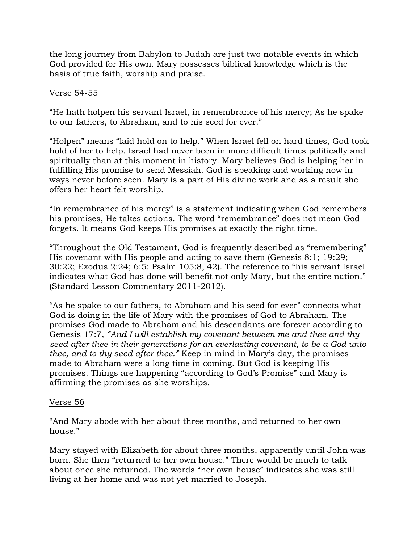the long journey from Babylon to Judah are just two notable events in which God provided for His own. Mary possesses biblical knowledge which is the basis of true faith, worship and praise.

## Verse 54-55

"He hath holpen his servant Israel, in remembrance of his mercy; As he spake to our fathers, to Abraham, and to his seed for ever."

"Holpen" means "laid hold on to help." When Israel fell on hard times, God took hold of her to help. Israel had never been in more difficult times politically and spiritually than at this moment in history. Mary believes God is helping her in fulfilling His promise to send Messiah. God is speaking and working now in ways never before seen. Mary is a part of His divine work and as a result she offers her heart felt worship.

"In remembrance of his mercy" is a statement indicating when God remembers his promises, He takes actions. The word "remembrance" does not mean God forgets. It means God keeps His promises at exactly the right time.

"Throughout the Old Testament, God is frequently described as "remembering" His covenant with His people and acting to save them (Genesis 8:1; 19:29; 30:22; Exodus 2:24; 6:5: Psalm 105:8, 42). The reference to "his servant Israel indicates what God has done will benefit not only Mary, but the entire nation." (Standard Lesson Commentary 2011-2012).

"As he spake to our fathers, to Abraham and his seed for ever" connects what God is doing in the life of Mary with the promises of God to Abraham. The promises God made to Abraham and his descendants are forever according to Genesis 17:7, *"And I will establish my covenant between me and thee and thy seed after thee in their generations for an everlasting covenant, to be a God unto thee, and to thy seed after thee."* Keep in mind in Mary's day, the promises made to Abraham were a long time in coming. But God is keeping His promises. Things are happening "according to God's Promise" and Mary is affirming the promises as she worships.

### Verse 56

"And Mary abode with her about three months, and returned to her own house."

Mary stayed with Elizabeth for about three months, apparently until John was born. She then "returned to her own house." There would be much to talk about once she returned. The words "her own house" indicates she was still living at her home and was not yet married to Joseph.